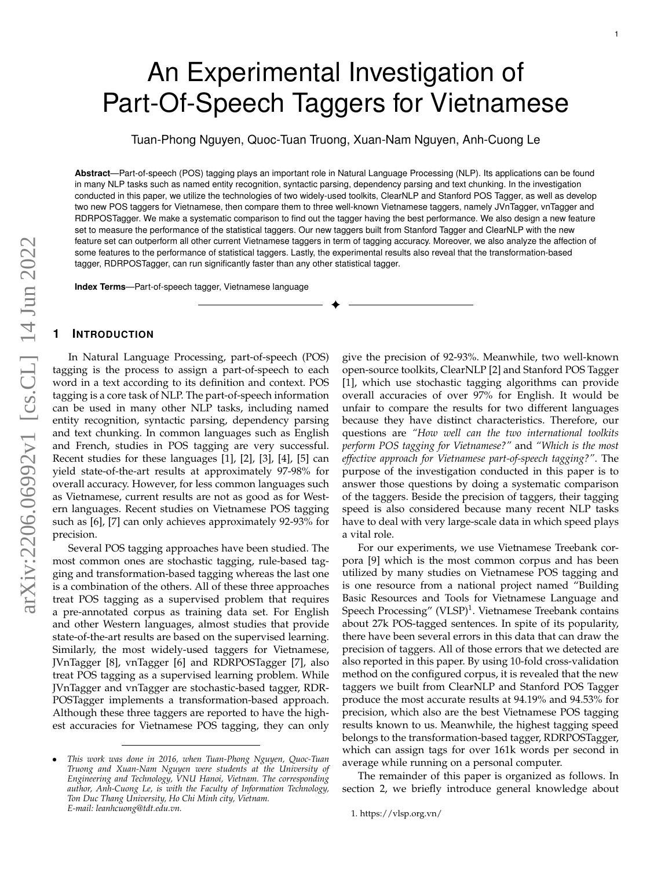# An Experimental Investigation of Part-Of-Speech Taggers for Vietnamese

Tuan-Phong Nguyen, Quoc-Tuan Truong, Xuan-Nam Nguyen, Anh-Cuong Le

**Abstract**—Part-of-speech (POS) tagging plays an important role in Natural Language Processing (NLP). Its applications can be found in many NLP tasks such as named entity recognition, syntactic parsing, dependency parsing and text chunking. In the investigation conducted in this paper, we utilize the technologies of two widely-used toolkits, ClearNLP and Stanford POS Tagger, as well as develop two new POS taggers for Vietnamese, then compare them to three well-known Vietnamese taggers, namely JVnTagger, vnTagger and RDRPOSTagger. We make a systematic comparison to find out the tagger having the best performance. We also design a new feature set to measure the performance of the statistical taggers. Our new taggers built from Stanford Tagger and ClearNLP with the new feature set can outperform all other current Vietnamese taggers in term of tagging accuracy. Moreover, we also analyze the affection of some features to the performance of statistical taggers. Lastly, the experimental results also reveal that the transformation-based tagger, RDRPOSTagger, can run significantly faster than any other statistical tagger.

✦

**Index Terms**—Part-of-speech tagger, Vietnamese language

# **1 INTRODUCTION**

In Natural Language Processing, part-of-speech (POS) tagging is the process to assign a part-of-speech to each word in a text according to its definition and context. POS tagging is a core task of NLP. The part-of-speech information can be used in many other NLP tasks, including named entity recognition, syntactic parsing, dependency parsing and text chunking. In common languages such as English and French, studies in POS tagging are very successful. Recent studies for these languages [\[1\]](#page-7-0), [\[2\]](#page-7-1), [\[3\]](#page-7-2), [\[4\]](#page-7-3), [\[5\]](#page-7-4) can yield state-of-the-art results at approximately 97-98% for overall accuracy. However, for less common languages such as Vietnamese, current results are not as good as for Western languages. Recent studies on Vietnamese POS tagging such as [\[6\]](#page-7-5), [\[7\]](#page-7-6) can only achieves approximately 92-93% for precision.

Several POS tagging approaches have been studied. The most common ones are stochastic tagging, rule-based tagging and transformation-based tagging whereas the last one is a combination of the others. All of these three approaches treat POS tagging as a supervised problem that requires a pre-annotated corpus as training data set. For English and other Western languages, almost studies that provide state-of-the-art results are based on the supervised learning. Similarly, the most widely-used taggers for Vietnamese, JVnTagger [\[8\]](#page-7-7), vnTagger [\[6\]](#page-7-5) and RDRPOSTagger [\[7\]](#page-7-6), also treat POS tagging as a supervised learning problem. While JVnTagger and vnTagger are stochastic-based tagger, RDR-POSTagger implements a transformation-based approach. Although these three taggers are reported to have the highest accuracies for Vietnamese POS tagging, they can only give the precision of 92-93%. Meanwhile, two well-known open-source toolkits, ClearNLP [\[2\]](#page-7-1) and Stanford POS Tagger [\[1\]](#page-7-0), which use stochastic tagging algorithms can provide overall accuracies of over 97% for English. It would be unfair to compare the results for two different languages because they have distinct characteristics. Therefore, our questions are *"How well can the two international toolkits perform POS tagging for Vietnamese?"* and *"Which is the most effective approach for Vietnamese part-of-speech tagging?"*. The purpose of the investigation conducted in this paper is to answer those questions by doing a systematic comparison of the taggers. Beside the precision of taggers, their tagging speed is also considered because many recent NLP tasks have to deal with very large-scale data in which speed plays a vital role.

For our experiments, we use Vietnamese Treebank corpora [\[9\]](#page-7-8) which is the most common corpus and has been utilized by many studies on Vietnamese POS tagging and is one resource from a national project named "Building Basic Resources and Tools for Vietnamese Language and Speech Processing" (VLSP)<sup>[1](#page-0-0)</sup>. Vietnamese Treebank contains about 27k POS-tagged sentences. In spite of its popularity, there have been several errors in this data that can draw the precision of taggers. All of those errors that we detected are also reported in this paper. By using 10-fold cross-validation method on the configured corpus, it is revealed that the new taggers we built from ClearNLP and Stanford POS Tagger produce the most accurate results at 94.19% and 94.53% for precision, which also are the best Vietnamese POS tagging results known to us. Meanwhile, the highest tagging speed belongs to the transformation-based tagger, RDRPOSTagger, which can assign tags for over 161k words per second in average while running on a personal computer.

The remainder of this paper is organized as follows. In section [2,](#page-1-0) we briefly introduce general knowledge about

<sup>•</sup> *This work was done in 2016, when Tuan-Phong Nguyen, Quoc-Tuan Truong and Xuan-Nam Nguyen were students at the University of Engineering and Technology, VNU Hanoi, Vietnam. The corresponding author, Anh-Cuong Le, is with the Faculty of Information Technology, Ton Duc Thang University, Ho Chi Minh city, Vietnam. E-mail: leanhcuong@tdt.edu.vn.*

<span id="page-0-0"></span><sup>1.</sup><https://vlsp.org.vn/>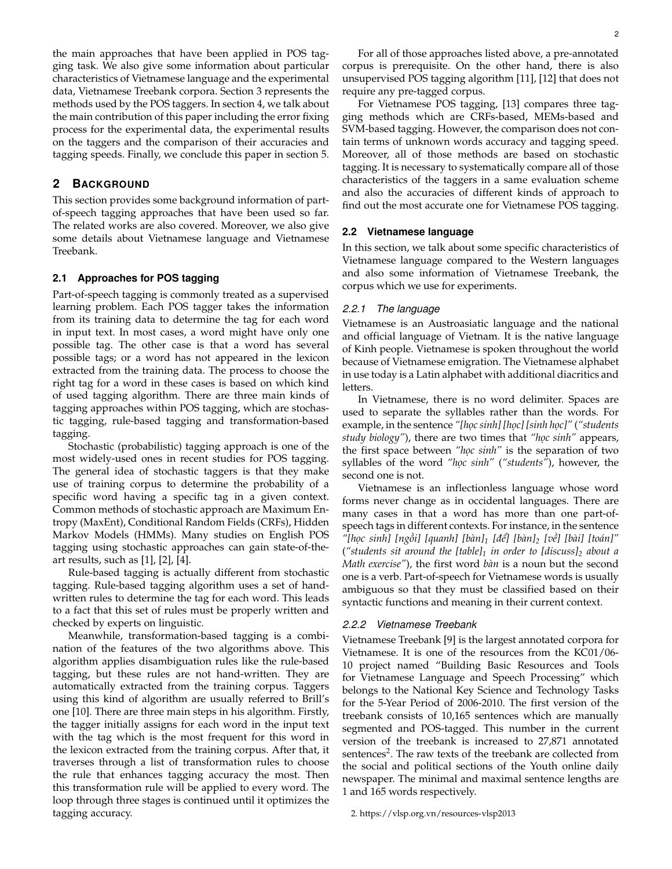the main approaches that have been applied in POS tagging task. We also give some information about particular characteristics of Vietnamese language and the experimental data, Vietnamese Treebank corpora. Section [3](#page-2-0) represents the methods used by the POS taggers. In section [4,](#page-4-0) we talk about the main contribution of this paper including the error fixing process for the experimental data, the experimental results on the taggers and the comparison of their accuracies and tagging speeds. Finally, we conclude this paper in section [5.](#page-6-0)

## <span id="page-1-0"></span>**2 BACKGROUND**

This section provides some background information of partof-speech tagging approaches that have been used so far. The related works are also covered. Moreover, we also give some details about Vietnamese language and Vietnamese Treebank.

## **2.1 Approaches for POS tagging**

Part-of-speech tagging is commonly treated as a supervised learning problem. Each POS tagger takes the information from its training data to determine the tag for each word in input text. In most cases, a word might have only one possible tag. The other case is that a word has several possible tags; or a word has not appeared in the lexicon extracted from the training data. The process to choose the right tag for a word in these cases is based on which kind of used tagging algorithm. There are three main kinds of tagging approaches within POS tagging, which are stochastic tagging, rule-based tagging and transformation-based tagging.

Stochastic (probabilistic) tagging approach is one of the most widely-used ones in recent studies for POS tagging. The general idea of stochastic taggers is that they make use of training corpus to determine the probability of a specific word having a specific tag in a given context. Common methods of stochastic approach are Maximum Entropy (MaxEnt), Conditional Random Fields (CRFs), Hidden Markov Models (HMMs). Many studies on English POS tagging using stochastic approaches can gain state-of-theart results, such as [\[1\]](#page-7-0), [\[2\]](#page-7-1), [\[4\]](#page-7-3).

Rule-based tagging is actually different from stochastic tagging. Rule-based tagging algorithm uses a set of handwritten rules to determine the tag for each word. This leads to a fact that this set of rules must be properly written and checked by experts on linguistic.

Meanwhile, transformation-based tagging is a combination of the features of the two algorithms above. This algorithm applies disambiguation rules like the rule-based tagging, but these rules are not hand-written. They are automatically extracted from the training corpus. Taggers using this kind of algorithm are usually referred to Brill's one [\[10\]](#page-7-9). There are three main steps in his algorithm. Firstly, the tagger initially assigns for each word in the input text with the tag which is the most frequent for this word in the lexicon extracted from the training corpus. After that, it traverses through a list of transformation rules to choose the rule that enhances tagging accuracy the most. Then this transformation rule will be applied to every word. The loop through three stages is continued until it optimizes the tagging accuracy.

For all of those approaches listed above, a pre-annotated corpus is prerequisite. On the other hand, there is also unsupervised POS tagging algorithm [\[11\]](#page-7-10), [\[12\]](#page-7-11) that does not require any pre-tagged corpus.

For Vietnamese POS tagging, [\[13\]](#page-7-12) compares three tagging methods which are CRFs-based, MEMs-based and SVM-based tagging. However, the comparison does not contain terms of unknown words accuracy and tagging speed. Moreover, all of those methods are based on stochastic tagging. It is necessary to systematically compare all of those characteristics of the taggers in a same evaluation scheme and also the accuracies of different kinds of approach to find out the most accurate one for Vietnamese POS tagging.

#### **2.2 Vietnamese language**

In this section, we talk about some specific characteristics of Vietnamese language compared to the Western languages and also some information of Vietnamese Treebank, the corpus which we use for experiments.

#### *2.2.1 The language*

Vietnamese is an Austroasiatic language and the national and official language of Vietnam. It is the native language of Kinh people. Vietnamese is spoken throughout the world because of Vietnamese emigration. The Vietnamese alphabet in use today is a Latin alphabet with additional diacritics and letters.

In Vietnamese, there is no word delimiter. Spaces are used to separate the syllables rather than the words. For example, in the sentence *"[học sinh] [học] [sinh học]"* (*"students study biology"*), there are two times that *"học sinh"* appears, the first space between *"học sinh"* is the separation of two syllables of the word *"học sinh"* (*"students"*), however, the second one is not.

Vietnamese is an inflectionless language whose word forms never change as in occidental languages. There are many cases in that a word has more than one part-ofspeech tags in different contexts. For instance, in the sentence *"[học sinh] [ngồi] [quanh] [bàn]<sup>1</sup> [để] [bàn]<sup>2</sup> [về] [bài] [toán]"* (*"students sit around the [table]<sup>1</sup> in order to [discuss]<sup>2</sup> about a Math exercise"*), the first word *bàn* is a noun but the second one is a verb. Part-of-speech for Vietnamese words is usually ambiguous so that they must be classified based on their syntactic functions and meaning in their current context.

#### *2.2.2 Vietnamese Treebank*

Vietnamese Treebank [\[9\]](#page-7-8) is the largest annotated corpora for Vietnamese. It is one of the resources from the KC01/06- 10 project named "Building Basic Resources and Tools for Vietnamese Language and Speech Processing" which belongs to the National Key Science and Technology Tasks for the 5-Year Period of 2006-2010. The first version of the treebank consists of 10,165 sentences which are manually segmented and POS-tagged. This number in the current version of the treebank is increased to 27,871 annotated sentences<sup>[2](#page-1-1)</sup>. The raw texts of the treebank are collected from the social and political sections of the Youth online daily newspaper. The minimal and maximal sentence lengths are 1 and 165 words respectively.

<span id="page-1-1"></span>2.<https://vlsp.org.vn/resources-vlsp2013>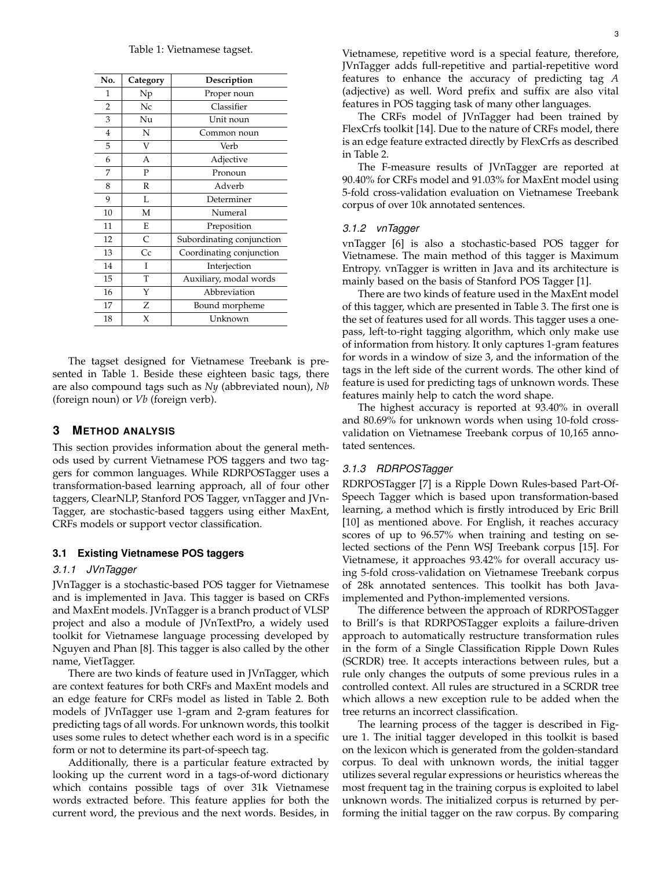<span id="page-2-1"></span>

| No.            | Category | Description               |
|----------------|----------|---------------------------|
| 1              | Np       | Proper noun               |
| $\overline{2}$ | Nc       | Classifier                |
| 3              | Nu       | Unit noun                 |
| 4              | N        | Common noun               |
| 5              | V        | Verb                      |
| 6              | А        | Adjective                 |
| 7              | P        | Pronoun                   |
| 8              | R        | Adverb                    |
| 9              | L        | Determiner                |
| 10             | М        | Numeral                   |
| 11             | E        | Preposition               |
| 12             | C        | Subordinating conjunction |
| 13             | Cc       | Coordinating conjunction  |
| 14             | I        | Interjection              |
| 15             | T        | Auxiliary, modal words    |
| 16             | Υ        | Abbreviation              |
| 17             | Ζ        | Bound morpheme            |
| 18             | X        | Unknown                   |

The tagset designed for Vietnamese Treebank is presented in Table [1.](#page-2-1) Beside these eighteen basic tags, there are also compound tags such as *Ny* (abbreviated noun), *Nb* (foreign noun) or *Vb* (foreign verb).

## <span id="page-2-0"></span>**3 METHOD ANALYSIS**

This section provides information about the general methods used by current Vietnamese POS taggers and two taggers for common languages. While RDRPOSTagger uses a transformation-based learning approach, all of four other taggers, ClearNLP, Stanford POS Tagger, vnTagger and JVn-Tagger, are stochastic-based taggers using either MaxEnt, CRFs models or support vector classification.

## **3.1 Existing Vietnamese POS taggers**

#### *3.1.1 JVnTagger*

JVnTagger is a stochastic-based POS tagger for Vietnamese and is implemented in Java. This tagger is based on CRFs and MaxEnt models. JVnTagger is a branch product of VLSP project and also a module of JVnTextPro, a widely used toolkit for Vietnamese language processing developed by Nguyen and Phan [\[8\]](#page-7-7). This tagger is also called by the other name, VietTagger.

There are two kinds of feature used in JVnTagger, which are context features for both CRFs and MaxEnt models and an edge feature for CRFs model as listed in Table [2.](#page-3-0) Both models of JVnTagger use 1-gram and 2-gram features for predicting tags of all words. For unknown words, this toolkit uses some rules to detect whether each word is in a specific form or not to determine its part-of-speech tag.

Additionally, there is a particular feature extracted by looking up the current word in a tags-of-word dictionary which contains possible tags of over 31k Vietnamese words extracted before. This feature applies for both the current word, the previous and the next words. Besides, in Vietnamese, repetitive word is a special feature, therefore, JVnTagger adds full-repetitive and partial-repetitive word features to enhance the accuracy of predicting tag *A* (adjective) as well. Word prefix and suffix are also vital features in POS tagging task of many other languages.

The CRFs model of JVnTagger had been trained by FlexCrfs toolkit [\[14\]](#page-7-13). Due to the nature of CRFs model, there is an edge feature extracted directly by FlexCrfs as described in Table [2.](#page-3-0)

The F-measure results of JVnTagger are reported at 90.40% for CRFs model and 91.03% for MaxEnt model using 5-fold cross-validation evaluation on Vietnamese Treebank corpus of over 10k annotated sentences.

## *3.1.2 vnTagger*

vnTagger [\[6\]](#page-7-5) is also a stochastic-based POS tagger for Vietnamese. The main method of this tagger is Maximum Entropy. vnTagger is written in Java and its architecture is mainly based on the basis of Stanford POS Tagger [\[1\]](#page-7-0).

There are two kinds of feature used in the MaxEnt model of this tagger, which are presented in Table [3.](#page-3-1) The first one is the set of features used for all words. This tagger uses a onepass, left-to-right tagging algorithm, which only make use of information from history. It only captures 1-gram features for words in a window of size 3, and the information of the tags in the left side of the current words. The other kind of feature is used for predicting tags of unknown words. These features mainly help to catch the word shape.

The highest accuracy is reported at 93.40% in overall and 80.69% for unknown words when using 10-fold crossvalidation on Vietnamese Treebank corpus of 10,165 annotated sentences.

#### *3.1.3 RDRPOSTagger*

RDRPOSTagger [\[7\]](#page-7-6) is a Ripple Down Rules-based Part-Of-Speech Tagger which is based upon transformation-based learning, a method which is firstly introduced by Eric Brill [\[10\]](#page-7-9) as mentioned above. For English, it reaches accuracy scores of up to 96.57% when training and testing on selected sections of the Penn WSJ Treebank corpus [\[15\]](#page-7-14). For Vietnamese, it approaches 93.42% for overall accuracy using 5-fold cross-validation on Vietnamese Treebank corpus of 28k annotated sentences. This toolkit has both Javaimplemented and Python-implemented versions.

The difference between the approach of RDRPOSTagger to Brill's is that RDRPOSTagger exploits a failure-driven approach to automatically restructure transformation rules in the form of a Single Classification Ripple Down Rules (SCRDR) tree. It accepts interactions between rules, but a rule only changes the outputs of some previous rules in a controlled context. All rules are structured in a SCRDR tree which allows a new exception rule to be added when the tree returns an incorrect classification.

The learning process of the tagger is described in Figure [1.](#page-3-2) The initial tagger developed in this toolkit is based on the lexicon which is generated from the golden-standard corpus. To deal with unknown words, the initial tagger utilizes several regular expressions or heuristics whereas the most frequent tag in the training corpus is exploited to label unknown words. The initialized corpus is returned by performing the initial tagger on the raw corpus. By comparing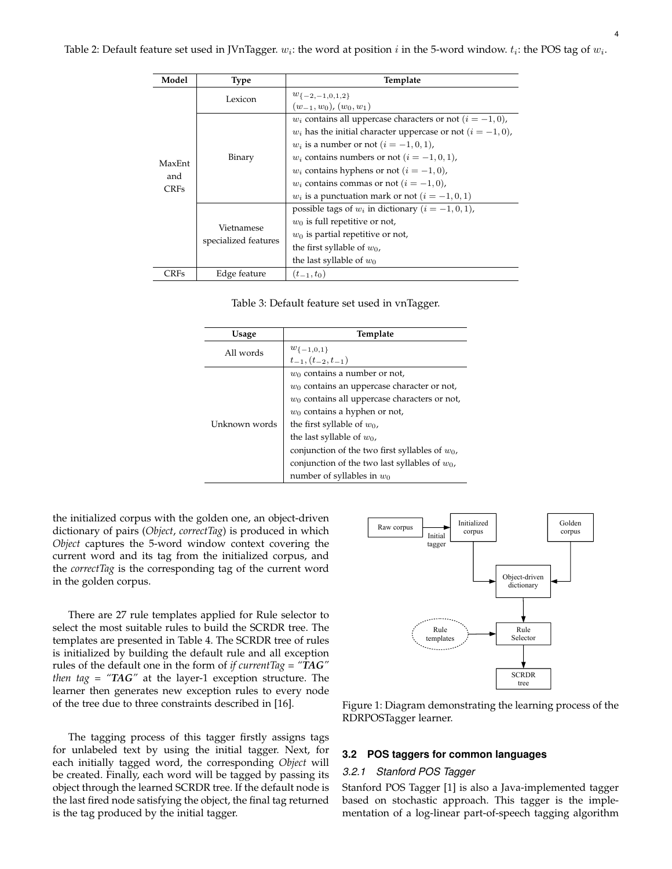<span id="page-3-0"></span>

| Model                        | <b>Type</b>                        | Template                                                                                                                                                                                                                                                                                                                                                                                      |
|------------------------------|------------------------------------|-----------------------------------------------------------------------------------------------------------------------------------------------------------------------------------------------------------------------------------------------------------------------------------------------------------------------------------------------------------------------------------------------|
|                              | Lexicon                            | $w_{\{-2,-1,0,1,2\}}$<br>$(w_{-1}, w_0)$ , $(w_0, w_1)$                                                                                                                                                                                                                                                                                                                                       |
| MaxEnt<br>and<br><b>CRFs</b> | Binary                             | $w_i$ contains all uppercase characters or not $(i = -1, 0)$ ,<br>$w_i$ has the initial character uppercase or not $(i = -1, 0)$ ,<br>$w_i$ is a number or not $(i = -1, 0, 1)$ ,<br>$w_i$ contains numbers or not $(i = -1, 0, 1)$ ,<br>$w_i$ contains hyphens or not $(i = -1, 0)$ ,<br>$w_i$ contains commas or not $(i = -1, 0)$ ,<br>$w_i$ is a punctuation mark or not $(i = -1, 0, 1)$ |
|                              | Vietnamese<br>specialized features | possible tags of $w_i$ in dictionary $(i = -1, 0, 1)$ ,<br>$w_0$ is full repetitive or not,<br>$w_0$ is partial repetitive or not,<br>the first syllable of $w_0$ ,<br>the last syllable of $w_0$                                                                                                                                                                                             |
| CRFs                         | Edge feature                       | $(t_{-1}, t_0)$                                                                                                                                                                                                                                                                                                                                                                               |

Table 3: Default feature set used in vnTagger.

<span id="page-3-1"></span>

| Usage         | Template                                          |  |  |  |  |
|---------------|---------------------------------------------------|--|--|--|--|
| All words     | $w_{\{-1,0,1\}}$                                  |  |  |  |  |
|               | $t_{-1}, (t_{-2}, t_{-1})$                        |  |  |  |  |
|               | $w_0$ contains a number or not,                   |  |  |  |  |
|               | $w_0$ contains an uppercase character or not,     |  |  |  |  |
|               | $w_0$ contains all uppercase characters or not,   |  |  |  |  |
|               | $w_0$ contains a hyphen or not,                   |  |  |  |  |
| Unknown words | the first syllable of $w_0$ ,                     |  |  |  |  |
|               | the last syllable of $w_0$ ,                      |  |  |  |  |
|               | conjunction of the two first syllables of $w_0$ , |  |  |  |  |
|               | conjunction of the two last syllables of $w_0$ ,  |  |  |  |  |
|               | number of syllables in $w_0$                      |  |  |  |  |

the initialized corpus with the golden one, an object-driven dictionary of pairs (*Object*, *correctTag*) is produced in which *Object* captures the 5-word window context covering the current word and its tag from the initialized corpus, and the *correctTag* is the corresponding tag of the current word in the golden corpus.

There are 27 rule templates applied for Rule selector to select the most suitable rules to build the SCRDR tree. The templates are presented in Table [4.](#page-4-1) The SCRDR tree of rules is initialized by building the default rule and all exception rules of the default one in the form of *if currentTag = "TAG" then tag = "TAG"* at the layer-1 exception structure. The learner then generates new exception rules to every node of the tree due to three constraints described in [\[16\]](#page-7-15).

The tagging process of this tagger firstly assigns tags for unlabeled text by using the initial tagger. Next, for each initially tagged word, the corresponding *Object* will be created. Finally, each word will be tagged by passing its object through the learned SCRDR tree. If the default node is the last fired node satisfying the object, the final tag returned is the tag produced by the initial tagger.

<span id="page-3-2"></span>

Figure 1: Diagram demonstrating the learning process of the RDRPOSTagger learner.

#### **3.2 POS taggers for common languages**

## *3.2.1 Stanford POS Tagger*

Stanford POS Tagger [\[1\]](#page-7-0) is also a Java-implemented tagger based on stochastic approach. This tagger is the implementation of a log-linear part-of-speech tagging algorithm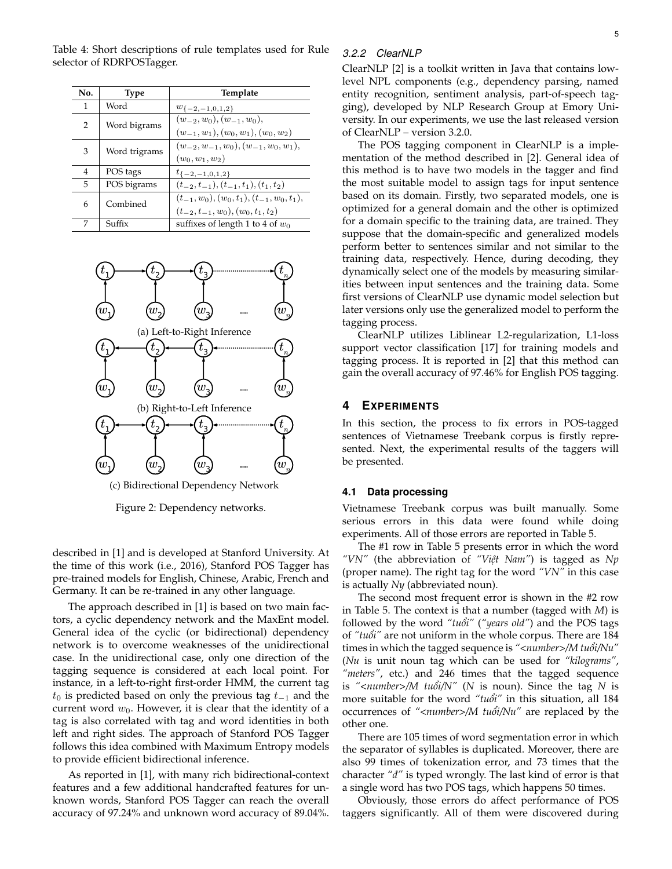| No. | <b>Type</b>   | Template                                                                                     |
|-----|---------------|----------------------------------------------------------------------------------------------|
| 1   | Word          | $w_{\{-2,-1,0,1,2\}}$                                                                        |
| 2   | Word bigrams  | $(w_{-2}, w_0), (w_{-1}, w_0),$<br>$(w_{-1}, w_1), (w_0, w_1), (w_0, w_2)$                   |
| 3   | Word trigrams | $(w_{-2}, w_{-1}, w_0), (w_{-1}, w_0, w_1),$<br>$(w_0, w_1, w_2)$                            |
| 4   | POS tags      | $t_{(-2,-1,0,1,2)}$                                                                          |
| 5   | POS bigrams   | $(t_{-2}, t_{-1}), (t_{-1}, t_1), (t_1, t_2)$                                                |
| 6   | Combined      | $(t_{-1}, w_0), (w_0, t_1), (t_{-1}, w_0, t_1),$<br>$(t_{-2}, t_{-1}, w_0), (w_0, t_1, t_2)$ |
| 7   | $S11$ ffix    | suffixes of length 1 to 4 of $w_0$                                                           |

<span id="page-4-1"></span>Table 4: Short descriptions of rule templates used for Rule

selector of RDRPOSTagger.



(c) Bidirectional Dependency Network

Figure 2: Dependency networks.

described in [\[1\]](#page-7-0) and is developed at Stanford University. At the time of this work (i.e., 2016), Stanford POS Tagger has pre-trained models for English, Chinese, Arabic, French and Germany. It can be re-trained in any other language.

The approach described in [\[1\]](#page-7-0) is based on two main factors, a cyclic dependency network and the MaxEnt model. General idea of the cyclic (or bidirectional) dependency network is to overcome weaknesses of the unidirectional case. In the unidirectional case, only one direction of the tagging sequence is considered at each local point. For instance, in a left-to-right first-order HMM, the current tag  $t_0$  is predicted based on only the previous tag  $t_{-1}$  and the current word  $w_0$ . However, it is clear that the identity of a tag is also correlated with tag and word identities in both left and right sides. The approach of Stanford POS Tagger follows this idea combined with Maximum Entropy models to provide efficient bidirectional inference.

As reported in [\[1\]](#page-7-0), with many rich bidirectional-context features and a few additional handcrafted features for unknown words, Stanford POS Tagger can reach the overall accuracy of 97.24% and unknown word accuracy of 89.04%.

## *3.2.2 ClearNLP*

ClearNLP [\[2\]](#page-7-1) is a toolkit written in Java that contains lowlevel NPL components (e.g., dependency parsing, named entity recognition, sentiment analysis, part-of-speech tagging), developed by NLP Research Group at Emory University. In our experiments, we use the last released version of ClearNLP – version 3.2.0.

The POS tagging component in ClearNLP is a implementation of the method described in [\[2\]](#page-7-1). General idea of this method is to have two models in the tagger and find the most suitable model to assign tags for input sentence based on its domain. Firstly, two separated models, one is optimized for a general domain and the other is optimized for a domain specific to the training data, are trained. They suppose that the domain-specific and generalized models perform better to sentences similar and not similar to the training data, respectively. Hence, during decoding, they dynamically select one of the models by measuring similarities between input sentences and the training data. Some first versions of ClearNLP use dynamic model selection but later versions only use the generalized model to perform the tagging process.

ClearNLP utilizes Liblinear L2-regularization, L1-loss support vector classification [\[17\]](#page-7-16) for training models and tagging process. It is reported in [\[2\]](#page-7-1) that this method can gain the overall accuracy of 97.46% for English POS tagging.

## <span id="page-4-0"></span>**4 EXPERIMENTS**

In this section, the process to fix errors in POS-tagged sentences of Vietnamese Treebank corpus is firstly represented. Next, the experimental results of the taggers will be presented.

#### **4.1 Data processing**

Vietnamese Treebank corpus was built manually. Some serious errors in this data were found while doing experiments. All of those errors are reported in Table [5.](#page-5-0)

The #1 row in Table [5](#page-5-0) presents error in which the word *"VN"* (the abbreviation of *"Việt Nam"*) is tagged as *Np* (proper name). The right tag for the word *"VN"* in this case is actually *Ny* (abbreviated noun).

The second most frequent error is shown in the #2 row in Table [5.](#page-5-0) The context is that a number (tagged with *M*) is followed by the word *"tuổi"* (*"years old"*) and the POS tags of *"tuổi"* are not uniform in the whole corpus. There are 184 times in which the tagged sequence is *"<number>/M tuổi/Nu"* (*Nu* is unit noun tag which can be used for *"kilograms"*, *"meters"*, etc.) and 246 times that the tagged sequence is *"<number>/M tuổi/N"* (*N* is noun). Since the tag *N* is more suitable for the word *"tuổi"* in this situation, all 184 occurrences of *"<number>/M tuổi/Nu"* are replaced by the other one.

There are 105 times of word segmentation error in which the separator of syllables is duplicated. Moreover, there are also 99 times of tokenization error, and 73 times that the character *"đ"* is typed wrongly. The last kind of error is that a single word has two POS tags, which happens 50 times.

Obviously, those errors do affect performance of POS taggers significantly. All of them were discovered during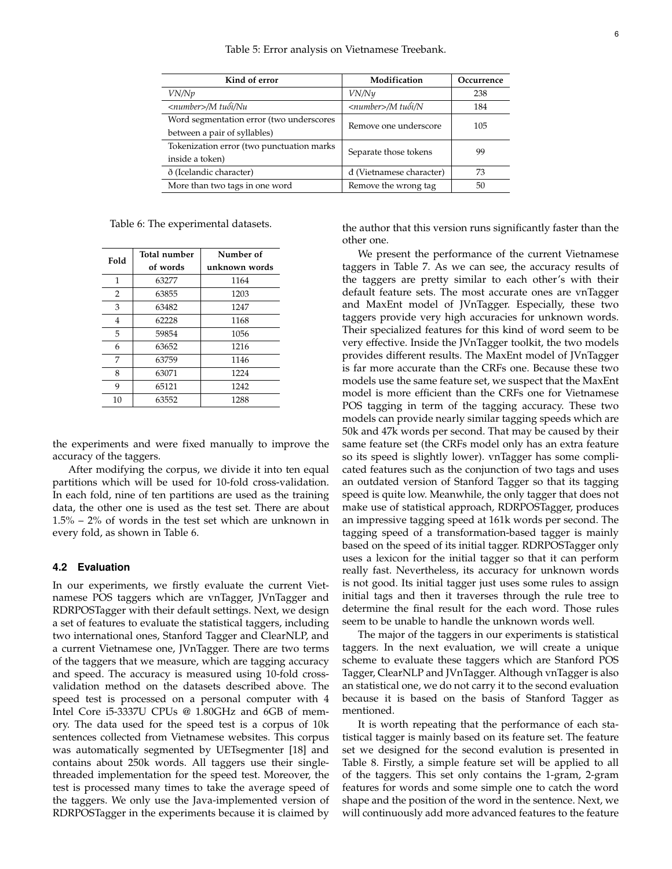<span id="page-5-0"></span>

| Kind of error                             | Modification                   | Occurrence |  |
|-------------------------------------------|--------------------------------|------------|--|
| VN/Np                                     | VN/Ny                          | 238        |  |
| <number>/M tuổi/Nu</number>               | $\langle$ number $>$ /M tuổi/N | 184        |  |
| Word segmentation error (two underscores  | Remove one underscore          | 105        |  |
| between a pair of syllables)              |                                |            |  |
| Tokenization error (two punctuation marks | Separate those tokens          | 99         |  |
| inside a token)                           |                                |            |  |
| ð (Icelandic character)                   | d (Vietnamese character)       | 73         |  |
| More than two tags in one word            | Remove the wrong tag           | 50         |  |

<span id="page-5-1"></span>Table 6: The experimental datasets.

| Fold           | Total number | Number of     |
|----------------|--------------|---------------|
|                | of words     | unknown words |
| 1              | 63277        | 1164          |
| $\overline{2}$ | 63855        | 1203          |
| 3              | 63482        | 1247          |
| 4              | 62228        | 1168          |
| 5              | 59854        | 1056          |
| 6              | 63652        | 1216          |
| 7              | 63759        | 1146          |
| 8              | 63071        | 1224          |
| 9              | 65121        | 1242          |
| 10             | 63552        | 1288          |

the experiments and were fixed manually to improve the accuracy of the taggers.

After modifying the corpus, we divide it into ten equal partitions which will be used for 10-fold cross-validation. In each fold, nine of ten partitions are used as the training data, the other one is used as the test set. There are about 1.5% – 2% of words in the test set which are unknown in every fold, as shown in Table [6.](#page-5-1)

#### **4.2 Evaluation**

In our experiments, we firstly evaluate the current Vietnamese POS taggers which are vnTagger, JVnTagger and RDRPOSTagger with their default settings. Next, we design a set of features to evaluate the statistical taggers, including two international ones, Stanford Tagger and ClearNLP, and a current Vietnamese one, JVnTagger. There are two terms of the taggers that we measure, which are tagging accuracy and speed. The accuracy is measured using 10-fold crossvalidation method on the datasets described above. The speed test is processed on a personal computer with 4 Intel Core i5-3337U CPUs @ 1.80GHz and 6GB of memory. The data used for the speed test is a corpus of 10k sentences collected from Vietnamese websites. This corpus was automatically segmented by UETsegmenter [\[18\]](#page-7-17) and contains about 250k words. All taggers use their singlethreaded implementation for the speed test. Moreover, the test is processed many times to take the average speed of the taggers. We only use the Java-implemented version of RDRPOSTagger in the experiments because it is claimed by

the author that this version runs significantly faster than the other one.

We present the performance of the current Vietnamese taggers in Table [7.](#page-6-1) As we can see, the accuracy results of the taggers are pretty similar to each other's with their default feature sets. The most accurate ones are vnTagger and MaxEnt model of JVnTagger. Especially, these two taggers provide very high accuracies for unknown words. Their specialized features for this kind of word seem to be very effective. Inside the JVnTagger toolkit, the two models provides different results. The MaxEnt model of JVnTagger is far more accurate than the CRFs one. Because these two models use the same feature set, we suspect that the MaxEnt model is more efficient than the CRFs one for Vietnamese POS tagging in term of the tagging accuracy. These two models can provide nearly similar tagging speeds which are 50k and 47k words per second. That may be caused by their same feature set (the CRFs model only has an extra feature so its speed is slightly lower). vnTagger has some complicated features such as the conjunction of two tags and uses an outdated version of Stanford Tagger so that its tagging speed is quite low. Meanwhile, the only tagger that does not make use of statistical approach, RDRPOSTagger, produces an impressive tagging speed at 161k words per second. The tagging speed of a transformation-based tagger is mainly based on the speed of its initial tagger. RDRPOSTagger only uses a lexicon for the initial tagger so that it can perform really fast. Nevertheless, its accuracy for unknown words is not good. Its initial tagger just uses some rules to assign initial tags and then it traverses through the rule tree to determine the final result for the each word. Those rules seem to be unable to handle the unknown words well.

The major of the taggers in our experiments is statistical taggers. In the next evaluation, we will create a unique scheme to evaluate these taggers which are Stanford POS Tagger, ClearNLP and JVnTagger. Although vnTagger is also an statistical one, we do not carry it to the second evaluation because it is based on the basis of Stanford Tagger as mentioned.

It is worth repeating that the performance of each statistical tagger is mainly based on its feature set. The feature set we designed for the second evalution is presented in Table [8.](#page-6-2) Firstly, a simple feature set will be applied to all of the taggers. This set only contains the 1-gram, 2-gram features for words and some simple one to catch the word shape and the position of the word in the sentence. Next, we will continuously add more advanced features to the feature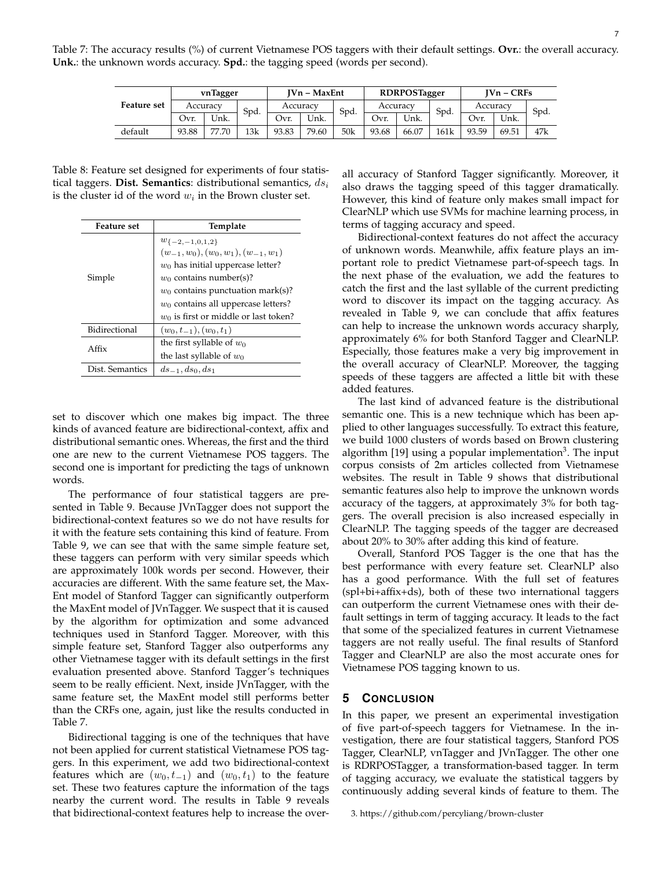<span id="page-6-1"></span>Table 7: The accuracy results (%) of current Vietnamese POS taggers with their default settings. **Ovr.**: the overall accuracy. **Unk.**: the unknown words accuracy. **Spd.**: the tagging speed (words per second).

| <b>Feature set</b> |       | vnTagger |      |          | <b>IVn</b> – MaxEnt | <b>RDRPOSTagger</b> |          |       |      |          | $I$ Vn – CRFs |      |  |
|--------------------|-------|----------|------|----------|---------------------|---------------------|----------|-------|------|----------|---------------|------|--|
|                    |       | Accuracy | Spd. | Accuracy |                     | Spd.                | Accuracy |       | Spd. | Accuracy |               | Spd. |  |
|                    | Ovr.  | Unk.     |      | Ovr.     | Unk.                |                     | Ovr.     | Unk.  |      | Ovr.     | Unk.          |      |  |
| default            | 93.88 | 77.70    | 13k  | 93.83    | 79.60               | 50k                 | 93.68    | 66.07 | 161k | 93.59    | 69.51         | 47k  |  |

<span id="page-6-2"></span>Table 8: Feature set designed for experiments of four statistical taggers. **Dist. Semantics**: distributional semantics,  $ds_i$ is the cluster id of the word  $w_i$  in the Brown cluster set.

| Feature set     | Template                                                                                                                                                                                                                                                           |
|-----------------|--------------------------------------------------------------------------------------------------------------------------------------------------------------------------------------------------------------------------------------------------------------------|
| Simple          | $w_{\{-2,-1,0,1,2\}}$<br>$(w_{-1}, w_0), (w_0, w_1), (w_{-1}, w_1)$<br>$w_0$ has initial uppercase letter?<br>$w_0$ contains number(s)?<br>$w_0$ contains punctuation mark(s)?<br>$w_0$ contains all uppercase letters?<br>$w_0$ is first or middle or last token? |
| Bidirectional   | $(w_0, t_{-1}), (w_0, t_1)$                                                                                                                                                                                                                                        |
| A ffix          | the first syllable of $w_0$<br>the last syllable of $w_0$                                                                                                                                                                                                          |
| Dist. Semantics | $ds_{-1}, ds_0, ds_1$                                                                                                                                                                                                                                              |

set to discover which one makes big impact. The three kinds of avanced feature are bidirectional-context, affix and distributional semantic ones. Whereas, the first and the third one are new to the current Vietnamese POS taggers. The second one is important for predicting the tags of unknown words.

The performance of four statistical taggers are presented in Table [9.](#page-7-18) Because JVnTagger does not support the bidirectional-context features so we do not have results for it with the feature sets containing this kind of feature. From Table [9,](#page-7-18) we can see that with the same simple feature set, these taggers can perform with very similar speeds which are approximately 100k words per second. However, their accuracies are different. With the same feature set, the Max-Ent model of Stanford Tagger can significantly outperform the MaxEnt model of JVnTagger. We suspect that it is caused by the algorithm for optimization and some advanced techniques used in Stanford Tagger. Moreover, with this simple feature set, Stanford Tagger also outperforms any other Vietnamese tagger with its default settings in the first evaluation presented above. Stanford Tagger's techniques seem to be really efficient. Next, inside JVnTagger, with the same feature set, the MaxEnt model still performs better than the CRFs one, again, just like the results conducted in Table [7.](#page-6-1)

Bidirectional tagging is one of the techniques that have not been applied for current statistical Vietnamese POS taggers. In this experiment, we add two bidirectional-context features which are  $(w_0, t_{-1})$  and  $(w_0, t_1)$  to the feature set. These two features capture the information of the tags nearby the current word. The results in Table [9](#page-7-18) reveals that bidirectional-context features help to increase the over-

all accuracy of Stanford Tagger significantly. Moreover, it also draws the tagging speed of this tagger dramatically. However, this kind of feature only makes small impact for ClearNLP which use SVMs for machine learning process, in terms of tagging accuracy and speed.

Bidirectional-context features do not affect the accuracy of unknown words. Meanwhile, affix feature plays an important role to predict Vietnamese part-of-speech tags. In the next phase of the evaluation, we add the features to catch the first and the last syllable of the current predicting word to discover its impact on the tagging accuracy. As revealed in Table [9,](#page-7-18) we can conclude that affix features can help to increase the unknown words accuracy sharply, approximately 6% for both Stanford Tagger and ClearNLP. Especially, those features make a very big improvement in the overall accuracy of ClearNLP. Moreover, the tagging speeds of these taggers are affected a little bit with these added features.

The last kind of advanced feature is the distributional semantic one. This is a new technique which has been applied to other languages successfully. To extract this feature, we build 1000 clusters of words based on Brown clustering algorithm [\[19\]](#page-7-19) using a popular implementation<sup>[3](#page-6-3)</sup>. The input corpus consists of 2m articles collected from Vietnamese websites. The result in Table [9](#page-7-18) shows that distributional semantic features also help to improve the unknown words accuracy of the taggers, at approximately 3% for both taggers. The overall precision is also increased especially in ClearNLP. The tagging speeds of the tagger are decreased about 20% to 30% after adding this kind of feature.

Overall, Stanford POS Tagger is the one that has the best performance with every feature set. ClearNLP also has a good performance. With the full set of features (spl+bi+affix+ds), both of these two international taggers can outperform the current Vietnamese ones with their default settings in term of tagging accuracy. It leads to the fact that some of the specialized features in current Vietnamese taggers are not really useful. The final results of Stanford Tagger and ClearNLP are also the most accurate ones for Vietnamese POS tagging known to us.

# <span id="page-6-0"></span>**5 CONCLUSION**

In this paper, we present an experimental investigation of five part-of-speech taggers for Vietnamese. In the investigation, there are four statistical taggers, Stanford POS Tagger, ClearNLP, vnTagger and JVnTagger. The other one is RDRPOSTagger, a transformation-based tagger. In term of tagging accuracy, we evaluate the statistical taggers by continuously adding several kinds of feature to them. The

<span id="page-6-3"></span><sup>3.</sup><https://github.com/percyliang/brown-cluster>